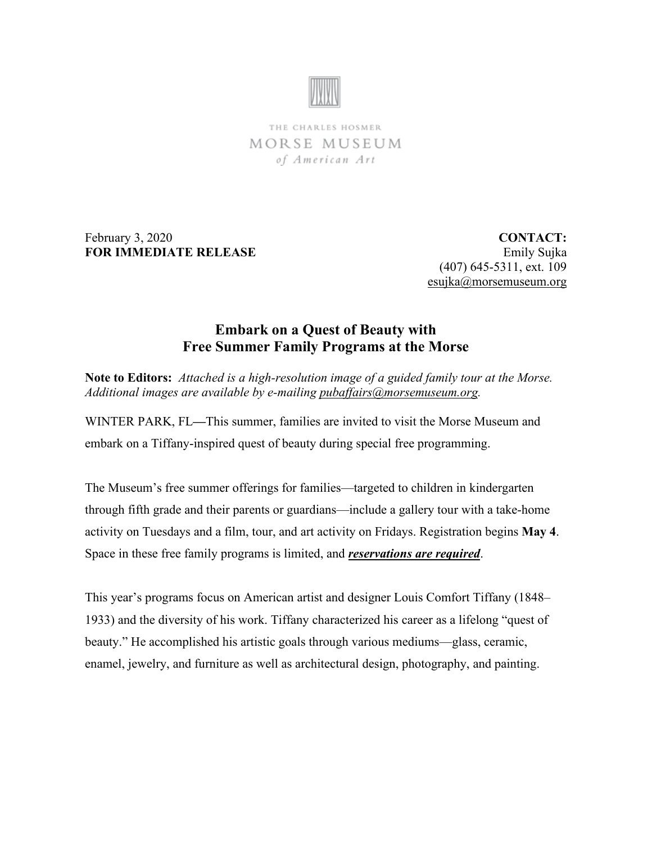

THE CHARLES HOSMER MORSE MUSEUM of American Art

February 3, 2020 **FOR IMMEDIATE RELEASE**

**CONTACT:** Emily Sujka (407) 645-5311, ext. 109 [esujka@morsemuseum.org](mailto:esujka@morsemuseum.org)

## **Embark on a Quest of Beauty with Free Summer Family Programs at the Morse**

**Note to Editors:** *Attached is a high-resolution image of a guided family tour at the Morse. Additional images are available by e-mailing [pubaffairs@morsemuseum.org.](mailto:pubaffairs@morsemuseum.org)*

WINTER PARK, FL**—**This summer, families are invited to visit the Morse Museum and embark on a Tiffany-inspired quest of beauty during special free programming.

The Museum's free summer offerings for families—targeted to children in kindergarten through fifth grade and their parents or guardians—include a gallery tour with a take-home activity on Tuesdays and a film, tour, and art activity on Fridays. Registration begins **May 4**. Space in these free family programs is limited, and *reservations are required*.

This year's programs focus on American artist and designer Louis Comfort Tiffany (1848– 1933) and the diversity of his work. Tiffany characterized his career as a lifelong "quest of beauty." He accomplished his artistic goals through various mediums—glass, ceramic, enamel, jewelry, and furniture as well as architectural design, photography, and painting.